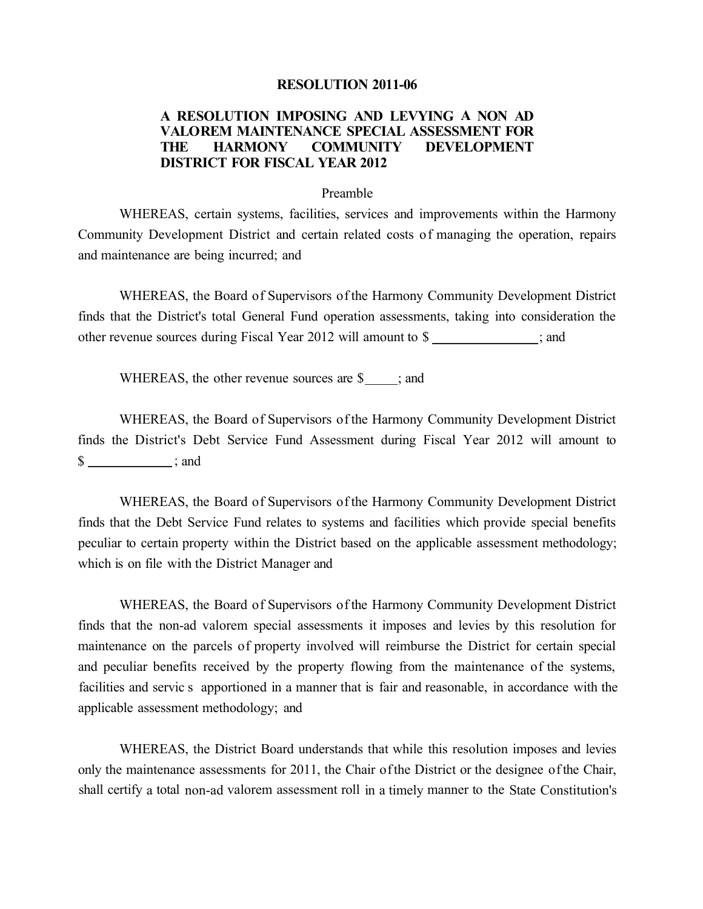## **RESOLUTION 2011-06**

## **A RESOLUTION IMPOSING AND LEVYING A NON AD V ALOREM MAINTENANCE SPECIAL ASSESSMENT FOR THE HARMONY COMMUNITY DEVELOPMENT DISTRICT FOR FISCAL YEAR 2012**

## Preamble

WHEREAS, certain systems, facilities, services and improvements within the Harmony Community Development District and certain related costs of managing the operation, repairs and maintenance are being incurred; and

WHEREAS, the Board of Supervisors of the Harmony Community Development District finds that the District's total General Fund operation assessments, taking into consideration the other revenue sources during Fiscal Year 2012 will amount to \$ \_\_\_\_\_\_\_\_\_\_\_\_\_; and

WHEREAS, the other revenue sources are  $\gamma$  ; and

WHEREAS, the Board of Supervisors of the Harmony Community Development District finds the District's Debt Service Fund Assessment during Fiscal Year 2012 will amount to  $\frac{\sqrt{2}}{2}$  ; and

WHEREAS, the Board of Supervisors of the Harmony Community Development District finds that the Debt Service Fund relates to systems and facilities which provide special benefits peculiar to certain property within the District based on the applicable assessment methodology; which is on file with the District Manager and

WHEREAS, the Board of Supervisors of the Harmony Community Development District finds that the non-ad valorem special assessments it imposes and levies by this resolution for maintenance on the parcels of property involved will reimburse the District for certain special and peculiar benefits received by the property flowing from the maintenance of the systems, facilities and servic s apportioned in a manner that is fair and reasonable, in accordance with the applicable assessment methodology; and

WHEREAS, the District Board understands that while this resolution imposes and levies only the maintenance assessments for 2011, the Chair ofthe District or the designee ofthe Chair, shall certify a total non-ad valorem assessment roll in a timely manner to the State Constitution's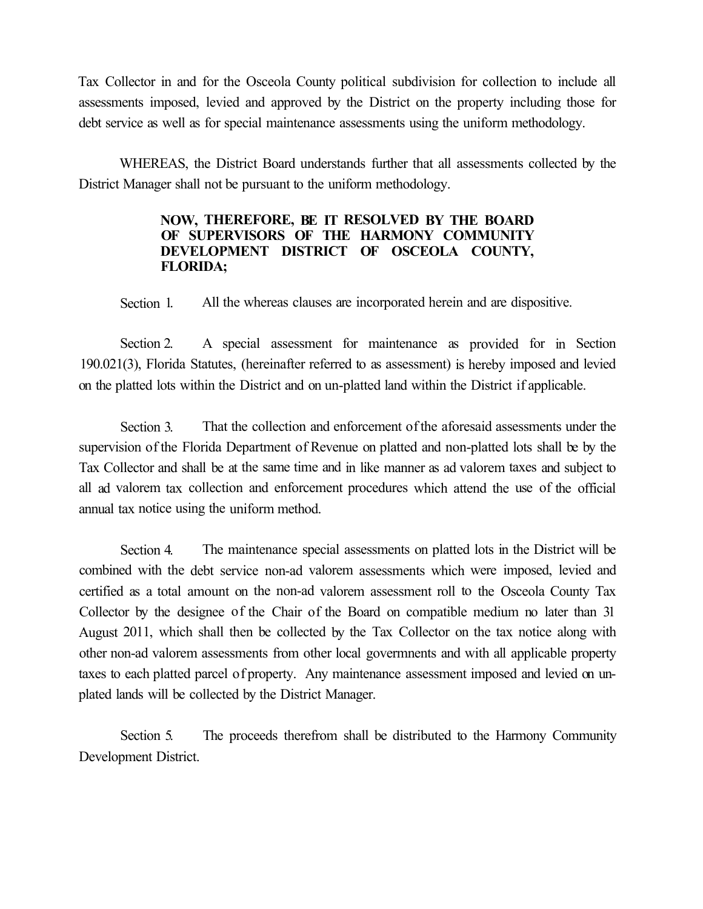Tax Collector in and for the Osceola County political subdivision for collection to include all assessments imposed, levied and approved by the District on the property including those for debt service as well as for special maintenance assessments using the uniform methodology.

WHEREAS, the District Board understands further that all assessments collected by the District Manager shall not be pursuant to the uniform methodology.

## **NOW, THEREFORE, BE IT RESOLVED BY THE BOARD OF SUPERVISORS OF THE HARMONY COMMUNITY DEVELOPMENT DISTRICT OF OSCEOLA COUNTY, FLORIDA;**

Section 1. All the whereas clauses are incorporated herein and are dispositive.

Section 2. A special assessment for maintenance as provided for in Section 190.021(3), Florida Statutes, (hereinafter referred to as assessment) is hereby imposed and levied on the platted lots within the District and on un-platted land within the District if applicable.

Section 3. That the collection and enforcement of the aforesaid assessments under the supervision of the Florida Department of Revenue on platted and non-platted lots shall be by the Tax Collector and shall be at the same time and in like manner as ad valorem taxes and subject to all ad valorem tax collection and enforcement procedures which attend the use of the official annual tax notice using the uniform method.

Section 4. The maintenance special assessments on platted lots in the District will be combined with the debt service non-ad valorem assessments which were imposed, levied and certified as a total amount on the non-ad valorem assessment roll to the Osceola County Tax Collector by the designee of the Chair of the Board on compatible medium no later than 31 August 2011, which shall then be collected by the Tax Collector on the tax notice along with other non-ad valorem assessments from other local govermnents and with all applicable property taxes to each platted parcel of property. Any maintenance assessment imposed and levied on unplated lands will be collected by the District Manager.

Section 5. The proceeds therefrom shall be distributed to the Harmony Community Development District.